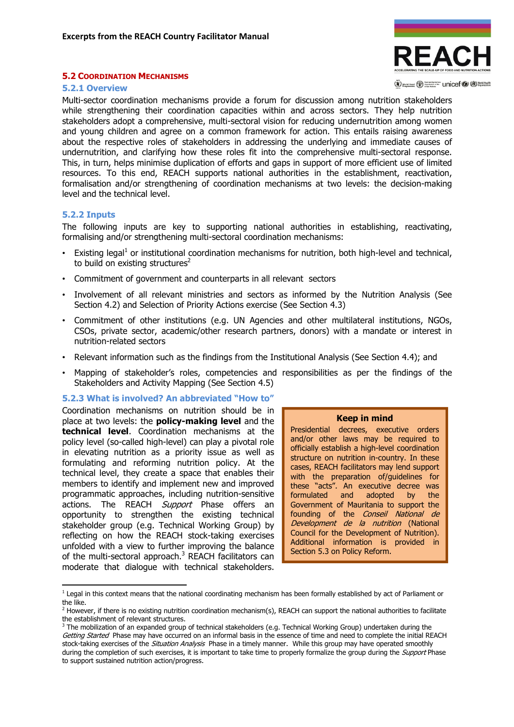

(V) works from (D) State Control (D) West Realth

#### 5.2 COORDINATION MECHANISMS

#### 5.2.1 Overview

Multi-sector coordination mechanisms provide a forum for discussion among nutrition stakeholders while strengthening their coordination capacities within and across sectors. They help nutrition stakeholders adopt a comprehensive, multi-sectoral vision for reducing undernutrition among women and young children and agree on a common framework for action. This entails raising awareness about the respective roles of stakeholders in addressing the underlying and immediate causes of undernutrition, and clarifying how these roles fit into the comprehensive multi-sectoral response. This, in turn, helps minimise duplication of efforts and gaps in support of more efficient use of limited resources. To this end, REACH supports national authorities in the establishment, reactivation, formalisation and/or strengthening of coordination mechanisms at two levels: the decision-making level and the technical level.

#### 5.2.2 Inputs

l

The following inputs are key to supporting national authorities in establishing, reactivating, formalising and/or strengthening multi-sectoral coordination mechanisms:

- Existing legal<sup>1</sup> or institutional coordination mechanisms for nutrition, both high-level and technical, to build on existing structures $^2$
- Commitment of government and counterparts in all relevant sectors
- Involvement of all relevant ministries and sectors as informed by the Nutrition Analysis (See Section 4.2) and Selection of Priority Actions exercise (See Section 4.3)
- Commitment of other institutions (e.g. UN Agencies and other multilateral institutions, NGOs, CSOs, private sector, academic/other research partners, donors) with a mandate or interest in nutrition-related sectors
- Relevant information such as the findings from the Institutional Analysis (See Section 4.4); and
- Mapping of stakeholder's roles, competencies and responsibilities as per the findings of the Stakeholders and Activity Mapping (See Section 4.5)

#### 5.2.3 What is involved? An abbreviated "How to"

Coordination mechanisms on nutrition should be in place at two levels: the **policy-making level** and the technical level. Coordination mechanisms at the policy level (so-called high-level) can play a pivotal role in elevating nutrition as a priority issue as well as formulating and reforming nutrition policy. At the technical level, they create a space that enables their members to identify and implement new and improved programmatic approaches, including nutrition-sensitive actions. The REACH Support Phase offers an opportunity to strengthen the existing technical stakeholder group (e.g. Technical Working Group) by reflecting on how the REACH stock-taking exercises unfolded with a view to further improving the balance of the multi-sectoral approach.<sup>3</sup> REACH facilitators can moderate that dialogue with technical stakeholders.

#### Keep in mind

Presidential decrees, executive orders and/or other laws may be required to officially establish a high-level coordination structure on nutrition in-country. In these cases, REACH facilitators may lend support with the preparation of/guidelines for these "acts". An executive decree was formulated and adopted by the Government of Mauritania to support the founding of the Conseil National de Development de la nutrition (National Council for the Development of Nutrition). Additional information is provided in Section 5.3 on Policy Reform.

<sup>&</sup>lt;sup>1</sup> Legal in this context means that the national coordinating mechanism has been formally established by act of Parliament or the like.

 $^2$  However, if there is no existing nutrition coordination mechanism(s), REACH can support the national authorities to facilitate the establishment of relevant structures.

<sup>&</sup>lt;sup>3</sup> The mobilization of an expanded group of technical stakeholders (e.g. Technical Working Group) undertaken during the Getting Started Phase may have occurred on an informal basis in the essence of time and need to complete the initial REACH stock-taking exercises of the Situation Analysis Phase in a timely manner. While this group may have operated smoothly during the completion of such exercises, it is important to take time to properly formalize the group during the Support Phase to support sustained nutrition action/progress.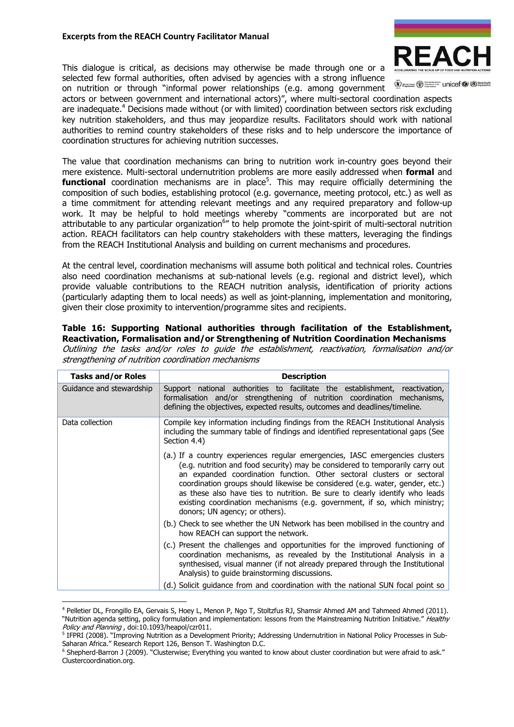## Excerpts from the REACH Country Facilitator Manual

This dialogue is critical, as decisions may otherwise be made through one or a selected few formal authorities, often advised by agencies with a strong influence on nutrition or through "informal power relationships (e.g. among government



(V) word rood (V) Supported The Unicef (V (D) World Health

actors or between government and international actors)", where multi-sectoral coordination aspects are inadequate.<sup>4</sup> Decisions made without (or with limited) coordination between sectors risk excluding key nutrition stakeholders, and thus may jeopardize results. Facilitators should work with national authorities to remind country stakeholders of these risks and to help underscore the importance of coordination structures for achieving nutrition successes.

The value that coordination mechanisms can bring to nutrition work in-country goes beyond their mere existence. Multi-sectoral undernutrition problems are more easily addressed when **formal** and **functional** coordination mechanisms are in place<sup>5</sup>. This may require officially determining the composition of such bodies, establishing protocol (e.g. governance, meeting protocol, etc.) as well as a time commitment for attending relevant meetings and any required preparatory and follow-up work. It may be helpful to hold meetings whereby "comments are incorporated but are not attributable to any particular organization<sup>6</sup>" to help promote the joint-spirit of multi-sectoral nutrition action. REACH facilitators can help country stakeholders with these matters, leveraging the findings from the REACH Institutional Analysis and building on current mechanisms and procedures.

At the central level, coordination mechanisms will assume both political and technical roles. Countries also need coordination mechanisms at sub-national levels (e.g. regional and district level), which provide valuable contributions to the REACH nutrition analysis, identification of priority actions (particularly adapting them to local needs) as well as joint-planning, implementation and monitoring, given their close proximity to intervention/programme sites and recipients.

## Table 16: Supporting National authorities through facilitation of the Establishment, Reactivation, Formalisation and/or Strengthening of Nutrition Coordination Mechanisms

| <b>Tasks and/or Roles</b> | <b>Description</b>                                                                                                                                                                                                                                                                                                                                                                                                                                                                                                    |  |
|---------------------------|-----------------------------------------------------------------------------------------------------------------------------------------------------------------------------------------------------------------------------------------------------------------------------------------------------------------------------------------------------------------------------------------------------------------------------------------------------------------------------------------------------------------------|--|
| Guidance and stewardship  | Support national authorities to facilitate the establishment, reactivation,<br>formalisation and/or strengthening of nutrition coordination mechanisms,<br>defining the objectives, expected results, outcomes and deadlines/timeline.                                                                                                                                                                                                                                                                                |  |
| Data collection           | Compile key information including findings from the REACH Institutional Analysis<br>including the summary table of findings and identified representational gaps (See<br>Section 4.4)                                                                                                                                                                                                                                                                                                                                 |  |
|                           | (a.) If a country experiences regular emergencies, IASC emergencies clusters<br>(e.g. nutrition and food security) may be considered to temporarily carry out<br>an expanded coordination function. Other sectoral clusters or sectoral<br>coordination groups should likewise be considered (e.g. water, gender, etc.)<br>as these also have ties to nutrition. Be sure to clearly identify who leads<br>existing coordination mechanisms (e.g. government, if so, which ministry;<br>donors; UN agency; or others). |  |
|                           | (b.) Check to see whether the UN Network has been mobilised in the country and<br>how REACH can support the network.                                                                                                                                                                                                                                                                                                                                                                                                  |  |
|                           | (c.) Present the challenges and opportunities for the improved functioning of<br>coordination mechanisms, as revealed by the Institutional Analysis in a<br>synthesised, visual manner (if not already prepared through the Institutional<br>Analysis) to guide brainstorming discussions.                                                                                                                                                                                                                            |  |
|                           | (d.) Solicit guidance from and coordination with the national SUN focal point so                                                                                                                                                                                                                                                                                                                                                                                                                                      |  |

Outlining the tasks and/or roles to guide the establishment, reactivation, formalisation and/or strengthening of nutrition coordination mechanisms

 $\overline{a}$ 

<sup>4</sup> Pelletier DL, Frongillo EA, Gervais S, Hoey L, Menon P, Ngo T, Stoltzfus RJ, Shamsir Ahmed AM and Tahmeed Ahmed (2011). "Nutrition agenda setting, policy formulation and implementation: lessons from the Mainstreaming Nutrition Initiative." Healthy Policy and Planning, doi:10.1093/heapol/czr011.

<sup>&</sup>lt;sup>5</sup> IFPRI (2008). "Improving Nutrition as a Development Priority; Addressing Undernutrition in National Policy Processes in Sub-Saharan Africa." Research Report 126, Benson T. Washington D.C.

<sup>6</sup> Shepherd-Barron J (2009). "Clusterwise; Everything you wanted to know about cluster coordination but were afraid to ask." Clustercoordination.org.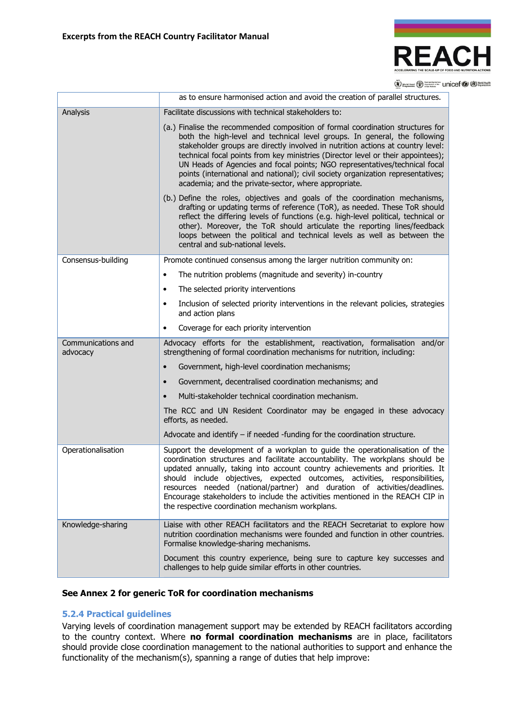

(V) your road (V) Second Text Text Unicef (V) North Health

|                    | as to ensure harmonised action and avoid the creation of parallel structures.                                                                                                                                                                                                                                                                                                                                                                                                                                                                                 |  |
|--------------------|---------------------------------------------------------------------------------------------------------------------------------------------------------------------------------------------------------------------------------------------------------------------------------------------------------------------------------------------------------------------------------------------------------------------------------------------------------------------------------------------------------------------------------------------------------------|--|
| Analysis           | Facilitate discussions with technical stakeholders to:                                                                                                                                                                                                                                                                                                                                                                                                                                                                                                        |  |
|                    | (a.) Finalise the recommended composition of formal coordination structures for<br>both the high-level and technical level groups. In general, the following<br>stakeholder groups are directly involved in nutrition actions at country level:<br>technical focal points from key ministries (Director level or their appointees);<br>UN Heads of Agencies and focal points; NGO representatives/technical focal<br>points (international and national); civil society organization representatives;<br>academia; and the private-sector, where appropriate. |  |
|                    | (b.) Define the roles, objectives and goals of the coordination mechanisms,<br>drafting or updating terms of reference (ToR), as needed. These ToR should<br>reflect the differing levels of functions (e.g. high-level political, technical or<br>other). Moreover, the ToR should articulate the reporting lines/feedback<br>loops between the political and technical levels as well as between the<br>central and sub-national levels.                                                                                                                    |  |
| Consensus-building | Promote continued consensus among the larger nutrition community on:                                                                                                                                                                                                                                                                                                                                                                                                                                                                                          |  |
|                    | The nutrition problems (magnitude and severity) in-country<br>$\bullet$                                                                                                                                                                                                                                                                                                                                                                                                                                                                                       |  |
|                    | The selected priority interventions<br>$\bullet$                                                                                                                                                                                                                                                                                                                                                                                                                                                                                                              |  |
|                    | Inclusion of selected priority interventions in the relevant policies, strategies<br>$\bullet$<br>and action plans                                                                                                                                                                                                                                                                                                                                                                                                                                            |  |
|                    | Coverage for each priority intervention<br>$\bullet$                                                                                                                                                                                                                                                                                                                                                                                                                                                                                                          |  |
| Communications and | Advocacy efforts for the establishment, reactivation, formalisation and/or                                                                                                                                                                                                                                                                                                                                                                                                                                                                                    |  |
| advocacy           | strengthening of formal coordination mechanisms for nutrition, including:                                                                                                                                                                                                                                                                                                                                                                                                                                                                                     |  |
|                    | Government, high-level coordination mechanisms;<br>$\bullet$                                                                                                                                                                                                                                                                                                                                                                                                                                                                                                  |  |
|                    | Government, decentralised coordination mechanisms; and<br>$\bullet$                                                                                                                                                                                                                                                                                                                                                                                                                                                                                           |  |
|                    | Multi-stakeholder technical coordination mechanism.<br>$\bullet$                                                                                                                                                                                                                                                                                                                                                                                                                                                                                              |  |
|                    | The RCC and UN Resident Coordinator may be engaged in these advocacy<br>efforts, as needed.                                                                                                                                                                                                                                                                                                                                                                                                                                                                   |  |
|                    | Advocate and identify $-$ if needed -funding for the coordination structure.                                                                                                                                                                                                                                                                                                                                                                                                                                                                                  |  |
| Operationalisation | Support the development of a workplan to guide the operationalisation of the<br>coordination structures and facilitate accountability. The workplans should be<br>updated annually, taking into account country achievements and priorities. It<br>should include objectives, expected outcomes, activities, responsibilities,<br>resources needed (national/partner) and duration of activities/deadlines.<br>Encourage stakeholders to include the activities mentioned in the REACH CIP in<br>the respective coordination mechanism workplans.             |  |
| Knowledge-sharing  | Liaise with other REACH facilitators and the REACH Secretariat to explore how<br>nutrition coordination mechanisms were founded and function in other countries.<br>Formalise knowledge-sharing mechanisms.                                                                                                                                                                                                                                                                                                                                                   |  |

## See Annex 2 for generic ToR for coordination mechanisms

## 5.2.4 Practical guidelines

Varying levels of coordination management support may be extended by REACH facilitators according to the country context. Where **no formal coordination mechanisms** are in place, facilitators should provide close coordination management to the national authorities to support and enhance the functionality of the mechanism(s), spanning a range of duties that help improve: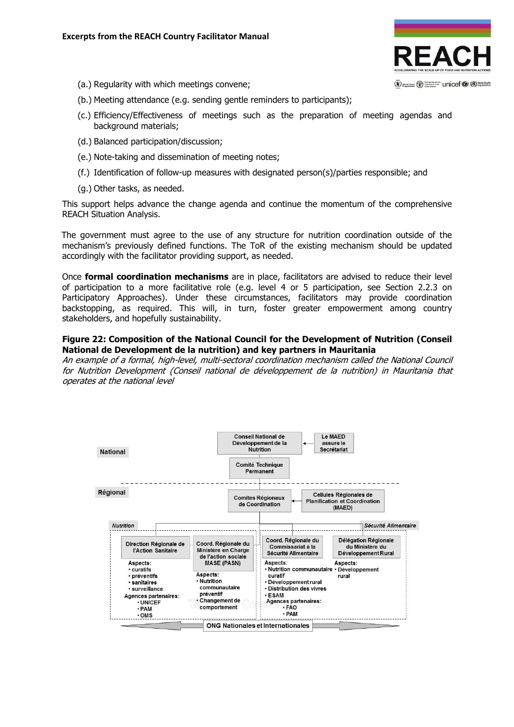

- (a.) Regularity with which meetings convene;
- (b.) Meeting attendance (e.g. sending gentle reminders to participants);
- (c.) Efficiency/Effectiveness of meetings such as the preparation of meeting agendas and background materials;
- (d.) Balanced participation/discussion;
- (e.) Note-taking and dissemination of meeting notes;
- (f.) Identification of follow-up measures with designated person(s)/parties responsible; and
- (g.) Other tasks, as needed.

This support helps advance the change agenda and continue the momentum of the comprehensive REACH Situation Analysis.

The government must agree to the use of any structure for nutrition coordination outside of the mechanism's previously defined functions. The ToR of the existing mechanism should be updated accordingly with the facilitator providing support, as needed.

Once formal coordination mechanisms are in place, facilitators are advised to reduce their level of participation to a more facilitative role (e.g. level 4 or 5 participation, see Section 2.2.3 on Participatory Approaches). Under these circumstances, facilitators may provide coordination backstopping, as required. This will, in turn, foster greater empowerment among country stakeholders, and hopefully sustainability.

## Figure 22: Composition of the National Council for the Development of Nutrition (Conseil National de Development de la nutrition) and key partners in Mauritania

An example of a formal, high-level, multi-sectoral coordination mechanism called the National Council for Nutrition Development (Conseil national de développement de la nutrition) in Mauritania that operates at the national level

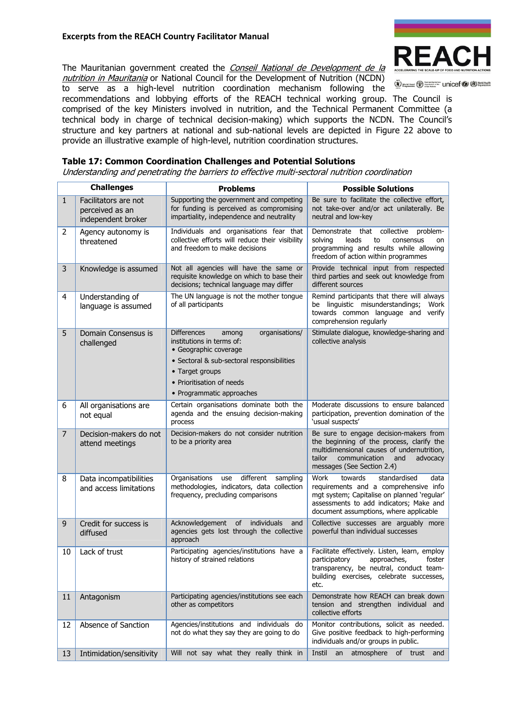# Excerpts from the REACH Country Facilitator Manual



The Mauritanian government created the Conseil National de Development de la nutrition in Mauritania or National Council for the Development of Nutrition (NCDN)

Western Committee Unicef C & World Health

to serve as a high-level nutrition coordination mechanism following the recommendations and lobbying efforts of the REACH technical working group. The Council is comprised of the key Ministers involved in nutrition, and the Technical Permanent Committee (a technical body in charge of technical decision-making) which supports the NCDN. The Council's structure and key partners at national and sub-national levels are depicted in Figure 22 above to provide an illustrative example of high-level, nutrition coordination structures.

# Table 17: Common Coordination Challenges and Potential Solutions

Understanding and penetrating the barriers to effective multi-sectoral nutrition coordination

|                | <b>Challenges</b>                                             | <b>Problems</b>                                                                                                                                                                                                                | <b>Possible Solutions</b>                                                                                                                                                                                            |
|----------------|---------------------------------------------------------------|--------------------------------------------------------------------------------------------------------------------------------------------------------------------------------------------------------------------------------|----------------------------------------------------------------------------------------------------------------------------------------------------------------------------------------------------------------------|
| $\mathbf{1}$   | Facilitators are not<br>perceived as an<br>independent broker | Supporting the government and competing<br>for funding is perceived as compromising<br>impartiality, independence and neutrality                                                                                               | Be sure to facilitate the collective effort,<br>not take-over and/or act unilaterally. Be<br>neutral and low-key                                                                                                     |
| 2              | Agency autonomy is<br>threatened                              | Individuals and organisations fear that<br>collective efforts will reduce their visibility<br>and freedom to make decisions                                                                                                    | Demonstrate that collective<br>problem-<br>solvina<br>leads<br>to<br>consensus<br>on<br>programming and results while allowing<br>freedom of action within programmes                                                |
| 3              | Knowledge is assumed                                          | Not all agencies will have the same or<br>requisite knowledge on which to base their<br>decisions; technical language may differ                                                                                               | Provide technical input from respected<br>third parties and seek out knowledge from<br>different sources                                                                                                             |
| 4              | Understanding of<br>language is assumed                       | The UN language is not the mother tongue<br>of all participants                                                                                                                                                                | Remind participants that there will always<br>be linguistic misunderstandings;<br>Work<br>towards common language and verify<br>comprehension regularly                                                              |
| 5              | Domain Consensus is<br>challenged                             | organisations/<br><b>Differences</b><br>among<br>institutions in terms of:<br>• Geographic coverage<br>· Sectoral & sub-sectoral responsibilities<br>• Target groups<br>• Prioritisation of needs<br>• Programmatic approaches | Stimulate dialogue, knowledge-sharing and<br>collective analysis                                                                                                                                                     |
| 6              | All organisations are<br>not equal                            | Certain organisations dominate both the<br>agenda and the ensuing decision-making<br>process                                                                                                                                   | Moderate discussions to ensure balanced<br>participation, prevention domination of the<br>'usual suspects'                                                                                                           |
| $\overline{7}$ | Decision-makers do not<br>attend meetings                     | Decision-makers do not consider nutrition<br>to be a priority area                                                                                                                                                             | Be sure to engage decision-makers from<br>the beginning of the process, clarify the<br>multidimensional causes of undernutrition,<br>tailor<br>communication<br>and<br>advocacy<br>messages (See Section 2.4)        |
| 8              | Data incompatibilities<br>and access limitations              | different<br>Organisations<br>use<br>sampling<br>methodologies, indicators, data collection<br>frequency, precluding comparisons                                                                                               | Work<br>towards<br>standardised<br>data<br>requirements and a comprehensive info<br>mgt system; Capitalise on planned 'regular'<br>assessments to add indicators; Make and<br>document assumptions, where applicable |
| 9              | Credit for success is<br>diffused                             | Acknowledgement<br>of<br>individuals<br>and<br>agencies gets lost through the collective<br>approach                                                                                                                           | Collective successes are arguably more<br>powerful than individual successes                                                                                                                                         |
| 10             | Lack of trust                                                 | Participating agencies/institutions have a<br>history of strained relations                                                                                                                                                    | Facilitate effectively. Listen, learn, employ<br>participatory<br>approaches,<br>foster<br>transparency, be neutral, conduct team-<br>building exercises, celebrate successes,<br>etc.                               |
| 11             | Antagonism                                                    | Participating agencies/institutions see each<br>other as competitors                                                                                                                                                           | Demonstrate how REACH can break down<br>tension and strengthen individual and<br>collective efforts                                                                                                                  |
| 12             | Absence of Sanction                                           | Agencies/institutions and individuals do<br>not do what they say they are going to do                                                                                                                                          | Monitor contributions, solicit as needed.<br>Give positive feedback to high-performing<br>individuals and/or groups in public.                                                                                       |
| 13             | Intimidation/sensitivity                                      | Will not say what they really think in                                                                                                                                                                                         | Instil<br>atmosphere<br>of<br>an<br>trust<br>and                                                                                                                                                                     |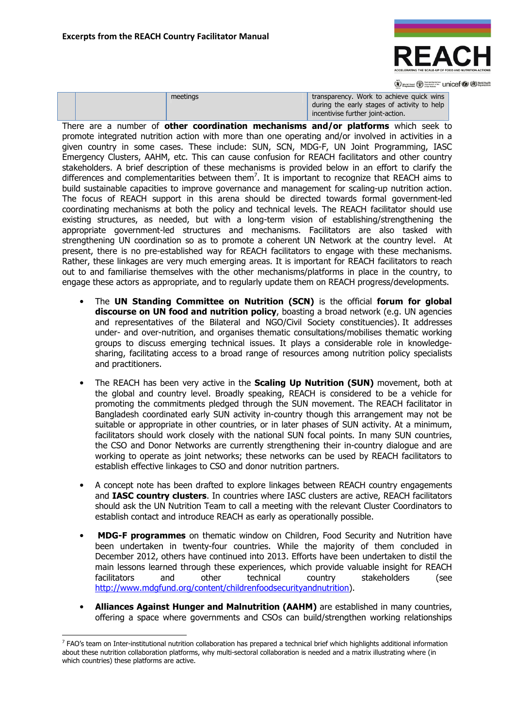

(V) word rood (V) Supported The Unicef (V (D) World Health

|  |  | meetings | transparency. Work to achieve quick wins<br>during the early stages of activity to help<br>incentivise further joint-action. |
|--|--|----------|------------------------------------------------------------------------------------------------------------------------------|
|--|--|----------|------------------------------------------------------------------------------------------------------------------------------|

There are a number of other coordination mechanisms and/or platforms which seek to promote integrated nutrition action with more than one operating and/or involved in activities in a given country in some cases. These include: SUN, SCN, MDG-F, UN Joint Programming, IASC Emergency Clusters, AAHM, etc. This can cause confusion for REACH facilitators and other country stakeholders. A brief description of these mechanisms is provided below in an effort to clarify the differences and complementarities between them<sup>7</sup>. It is important to recognize that REACH aims to build sustainable capacities to improve governance and management for scaling-up nutrition action. The focus of REACH support in this arena should be directed towards formal government-led coordinating mechanisms at both the policy and technical levels. The REACH facilitator should use existing structures, as needed, but with a long-term vision of establishing/strengthening the appropriate government-led structures and mechanisms. Facilitators are also tasked with strengthening UN coordination so as to promote a coherent UN Network at the country level. At present, there is no pre-established way for REACH facilitators to engage with these mechanisms. Rather, these linkages are very much emerging areas. It is important for REACH facilitators to reach out to and familiarise themselves with the other mechanisms/platforms in place in the country, to engage these actors as appropriate, and to regularly update them on REACH progress/developments.

- The UN Standing Committee on Nutrition (SCN) is the official forum for global discourse on UN food and nutrition policy, boasting a broad network (e.g. UN agencies and representatives of the Bilateral and NGO/Civil Society constituencies). It addresses under- and over-nutrition, and organises thematic consultations/mobilises thematic working groups to discuss emerging technical issues. It plays a considerable role in knowledgesharing, facilitating access to a broad range of resources among nutrition policy specialists and practitioners.
- The REACH has been very active in the **Scaling Up Nutrition (SUN)** movement, both at the global and country level. Broadly speaking, REACH is considered to be a vehicle for promoting the commitments pledged through the SUN movement. The REACH facilitator in Bangladesh coordinated early SUN activity in-country though this arrangement may not be suitable or appropriate in other countries, or in later phases of SUN activity. At a minimum, facilitators should work closely with the national SUN focal points. In many SUN countries, the CSO and Donor Networks are currently strengthening their in-country dialogue and are working to operate as joint networks; these networks can be used by REACH facilitators to establish effective linkages to CSO and donor nutrition partners.
- A concept note has been drafted to explore linkages between REACH country engagements and IASC country clusters. In countries where IASC clusters are active, REACH facilitators should ask the UN Nutrition Team to call a meeting with the relevant Cluster Coordinators to establish contact and introduce REACH as early as operationally possible.
- MDG-F programmes on thematic window on Children, Food Security and Nutrition have been undertaken in twenty-four countries. While the majority of them concluded in December 2012, others have continued into 2013. Efforts have been undertaken to distil the main lessons learned through these experiences, which provide valuable insight for REACH facilitators and other technical country stakeholders (see http://www.mdgfund.org/content/childrenfoodsecurityandnutrition).
- Alliances Against Hunger and Malnutrition (AAHM) are established in many countries, offering a space where governments and CSOs can build/strengthen working relationships

 $\overline{a}$ 

<sup>7</sup> FAO's team on Inter-institutional nutrition collaboration has prepared a technical brief which highlights additional information about these nutrition collaboration platforms, why multi-sectoral collaboration is needed and a matrix illustrating where (in which countries) these platforms are active.